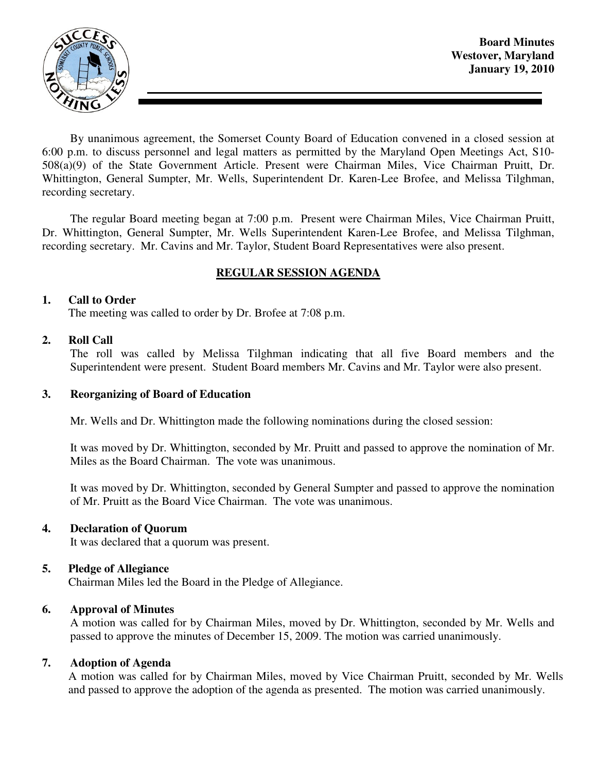

By unanimous agreement, the Somerset County Board of Education convened in a closed session at 6:00 p.m. to discuss personnel and legal matters as permitted by the Maryland Open Meetings Act, S10- 508(a)(9) of the State Government Article. Present were Chairman Miles, Vice Chairman Pruitt, Dr. Whittington, General Sumpter, Mr. Wells, Superintendent Dr. Karen-Lee Brofee, and Melissa Tilghman, recording secretary.

The regular Board meeting began at 7:00 p.m. Present were Chairman Miles, Vice Chairman Pruitt, Dr. Whittington, General Sumpter, Mr. Wells Superintendent Karen-Lee Brofee, and Melissa Tilghman, recording secretary. Mr. Cavins and Mr. Taylor, Student Board Representatives were also present.

# **REGULAR SESSION AGENDA**

#### **1. Call to Order**

The meeting was called to order by Dr. Brofee at 7:08 p.m.

#### **2. Roll Call**

The roll was called by Melissa Tilghman indicating that all five Board members and the Superintendent were present. Student Board members Mr. Cavins and Mr. Taylor were also present.

#### **3. Reorganizing of Board of Education**

Mr. Wells and Dr. Whittington made the following nominations during the closed session:

It was moved by Dr. Whittington, seconded by Mr. Pruitt and passed to approve the nomination of Mr. Miles as the Board Chairman. The vote was unanimous.

It was moved by Dr. Whittington, seconded by General Sumpter and passed to approve the nomination of Mr. Pruitt as the Board Vice Chairman. The vote was unanimous.

### **4. Declaration of Quorum**

It was declared that a quorum was present.

#### **5. Pledge of Allegiance**

Chairman Miles led the Board in the Pledge of Allegiance.

#### **6. Approval of Minutes**

 A motion was called for by Chairman Miles, moved by Dr. Whittington, seconded by Mr. Wells and passed to approve the minutes of December 15, 2009. The motion was carried unanimously.

### **7. Adoption of Agenda**

 A motion was called for by Chairman Miles, moved by Vice Chairman Pruitt, seconded by Mr. Wells and passed to approve the adoption of the agenda as presented. The motion was carried unanimously.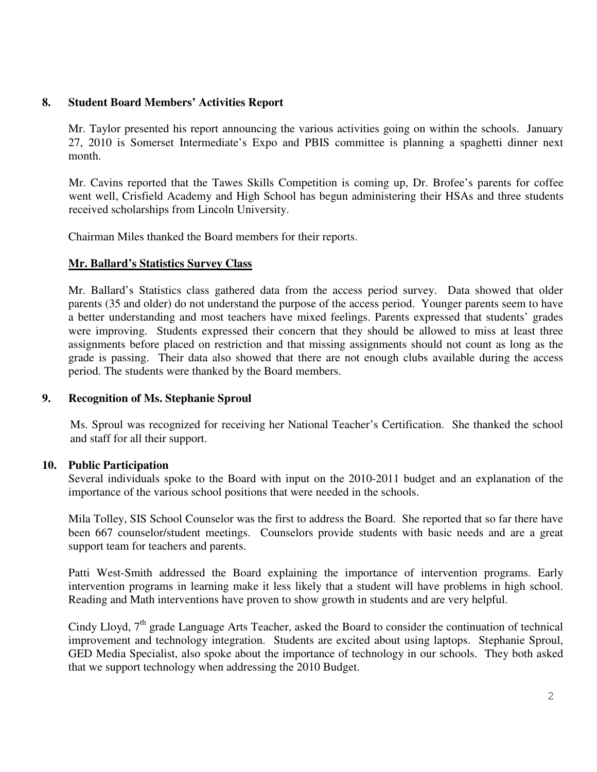## **8. Student Board Members' Activities Report**

Mr. Taylor presented his report announcing the various activities going on within the schools. January 27, 2010 is Somerset Intermediate's Expo and PBIS committee is planning a spaghetti dinner next month.

Mr. Cavins reported that the Tawes Skills Competition is coming up, Dr. Brofee's parents for coffee went well, Crisfield Academy and High School has begun administering their HSAs and three students received scholarships from Lincoln University.

Chairman Miles thanked the Board members for their reports.

## **Mr. Ballard's Statistics Survey Class**

Mr. Ballard's Statistics class gathered data from the access period survey. Data showed that older parents (35 and older) do not understand the purpose of the access period. Younger parents seem to have a better understanding and most teachers have mixed feelings. Parents expressed that students' grades were improving. Students expressed their concern that they should be allowed to miss at least three assignments before placed on restriction and that missing assignments should not count as long as the grade is passing. Their data also showed that there are not enough clubs available during the access period. The students were thanked by the Board members.

# **9. Recognition of Ms. Stephanie Sproul**

Ms. Sproul was recognized for receiving her National Teacher's Certification. She thanked the school and staff for all their support.

# **10. Public Participation**

Several individuals spoke to the Board with input on the 2010-2011 budget and an explanation of the importance of the various school positions that were needed in the schools.

Mila Tolley, SIS School Counselor was the first to address the Board. She reported that so far there have been 667 counselor/student meetings. Counselors provide students with basic needs and are a great support team for teachers and parents.

Patti West-Smith addressed the Board explaining the importance of intervention programs. Early intervention programs in learning make it less likely that a student will have problems in high school. Reading and Math interventions have proven to show growth in students and are very helpful.

Cindy Lloyd, 7<sup>th</sup> grade Language Arts Teacher, asked the Board to consider the continuation of technical improvement and technology integration. Students are excited about using laptops. Stephanie Sproul, GED Media Specialist, also spoke about the importance of technology in our schools. They both asked that we support technology when addressing the 2010 Budget.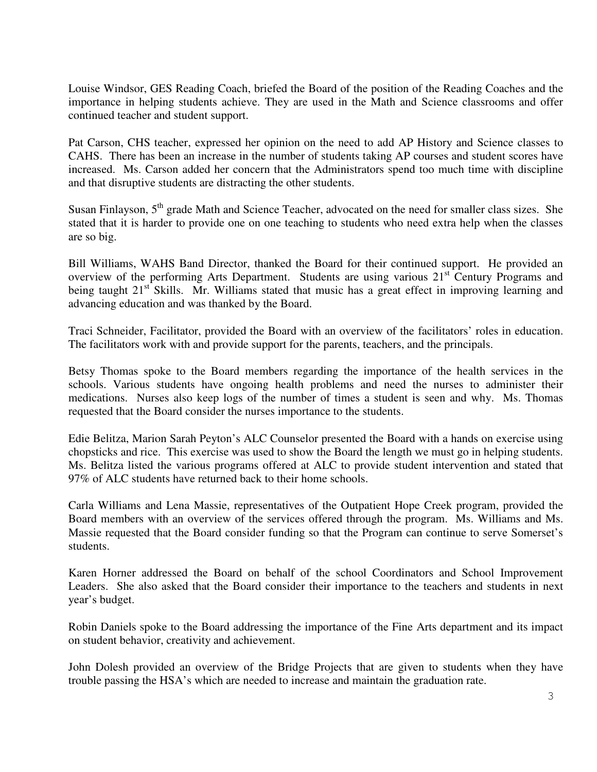Louise Windsor, GES Reading Coach, briefed the Board of the position of the Reading Coaches and the importance in helping students achieve. They are used in the Math and Science classrooms and offer continued teacher and student support.

Pat Carson, CHS teacher, expressed her opinion on the need to add AP History and Science classes to CAHS. There has been an increase in the number of students taking AP courses and student scores have increased. Ms. Carson added her concern that the Administrators spend too much time with discipline and that disruptive students are distracting the other students.

Susan Finlayson, 5<sup>th</sup> grade Math and Science Teacher, advocated on the need for smaller class sizes. She stated that it is harder to provide one on one teaching to students who need extra help when the classes are so big.

Bill Williams, WAHS Band Director, thanked the Board for their continued support. He provided an overview of the performing Arts Department. Students are using various 21<sup>st</sup> Century Programs and being taught 21<sup>st</sup> Skills. Mr. Williams stated that music has a great effect in improving learning and advancing education and was thanked by the Board.

Traci Schneider, Facilitator, provided the Board with an overview of the facilitators' roles in education. The facilitators work with and provide support for the parents, teachers, and the principals.

Betsy Thomas spoke to the Board members regarding the importance of the health services in the schools. Various students have ongoing health problems and need the nurses to administer their medications. Nurses also keep logs of the number of times a student is seen and why. Ms. Thomas requested that the Board consider the nurses importance to the students.

Edie Belitza, Marion Sarah Peyton's ALC Counselor presented the Board with a hands on exercise using chopsticks and rice. This exercise was used to show the Board the length we must go in helping students. Ms. Belitza listed the various programs offered at ALC to provide student intervention and stated that 97% of ALC students have returned back to their home schools.

Carla Williams and Lena Massie, representatives of the Outpatient Hope Creek program, provided the Board members with an overview of the services offered through the program. Ms. Williams and Ms. Massie requested that the Board consider funding so that the Program can continue to serve Somerset's students.

Karen Horner addressed the Board on behalf of the school Coordinators and School Improvement Leaders. She also asked that the Board consider their importance to the teachers and students in next year's budget.

Robin Daniels spoke to the Board addressing the importance of the Fine Arts department and its impact on student behavior, creativity and achievement.

John Dolesh provided an overview of the Bridge Projects that are given to students when they have trouble passing the HSA's which are needed to increase and maintain the graduation rate.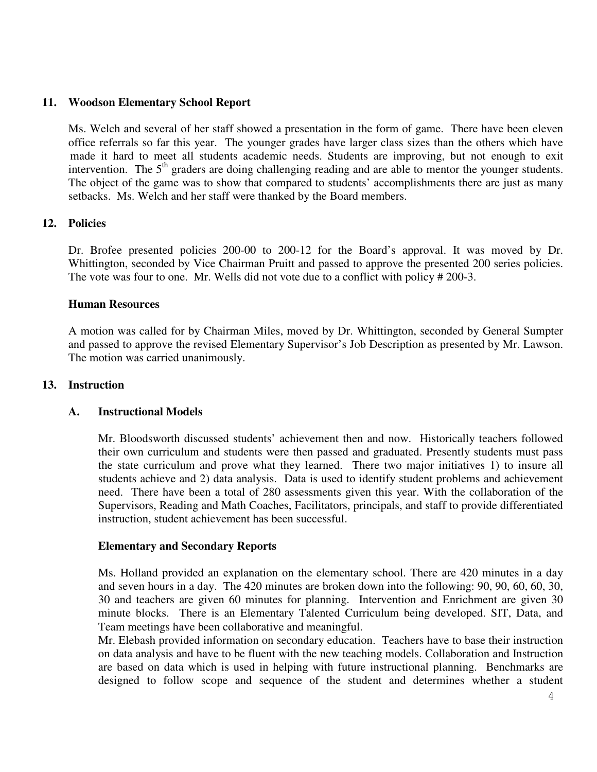#### **11. Woodson Elementary School Report**

Ms. Welch and several of her staff showed a presentation in the form of game. There have been eleven office referrals so far this year. The younger grades have larger class sizes than the others which have made it hard to meet all students academic needs. Students are improving, but not enough to exit intervention. The  $5<sup>th</sup>$  graders are doing challenging reading and are able to mentor the younger students. The object of the game was to show that compared to students' accomplishments there are just as many setbacks. Ms. Welch and her staff were thanked by the Board members.

#### **12. Policies**

Dr. Brofee presented policies 200-00 to 200-12 for the Board's approval. It was moved by Dr. Whittington, seconded by Vice Chairman Pruitt and passed to approve the presented 200 series policies. The vote was four to one. Mr. Wells did not vote due to a conflict with policy # 200-3.

#### **Human Resources**

A motion was called for by Chairman Miles, moved by Dr. Whittington, seconded by General Sumpter and passed to approve the revised Elementary Supervisor's Job Description as presented by Mr. Lawson. The motion was carried unanimously.

#### **13. Instruction**

#### **A. Instructional Models**

Mr. Bloodsworth discussed students' achievement then and now. Historically teachers followed their own curriculum and students were then passed and graduated. Presently students must pass the state curriculum and prove what they learned. There two major initiatives 1) to insure all students achieve and 2) data analysis. Data is used to identify student problems and achievement need. There have been a total of 280 assessments given this year. With the collaboration of the Supervisors, Reading and Math Coaches, Facilitators, principals, and staff to provide differentiated instruction, student achievement has been successful.

#### **Elementary and Secondary Reports**

Ms. Holland provided an explanation on the elementary school. There are 420 minutes in a day and seven hours in a day. The 420 minutes are broken down into the following: 90, 90, 60, 60, 30, 30 and teachers are given 60 minutes for planning. Intervention and Enrichment are given 30 minute blocks. There is an Elementary Talented Curriculum being developed. SIT, Data, and Team meetings have been collaborative and meaningful.

Mr. Elebash provided information on secondary education. Teachers have to base their instruction on data analysis and have to be fluent with the new teaching models. Collaboration and Instruction are based on data which is used in helping with future instructional planning. Benchmarks are designed to follow scope and sequence of the student and determines whether a student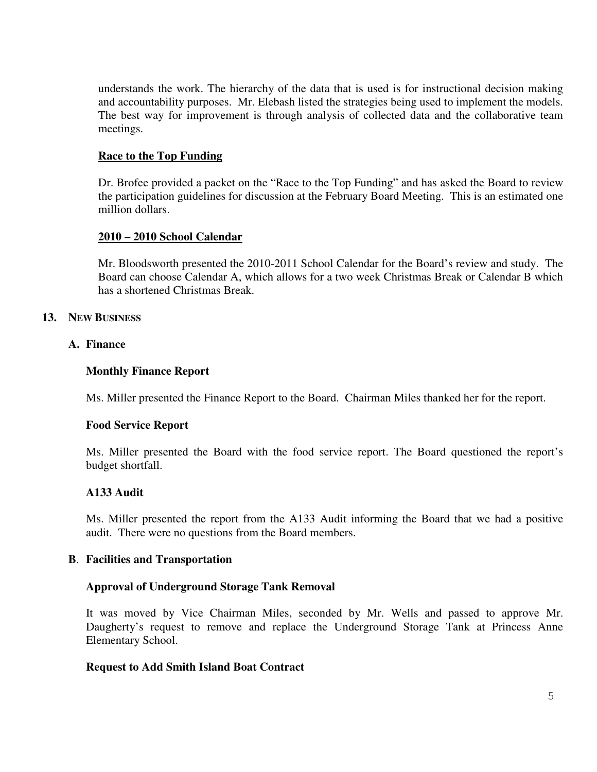understands the work. The hierarchy of the data that is used is for instructional decision making and accountability purposes. Mr. Elebash listed the strategies being used to implement the models. The best way for improvement is through analysis of collected data and the collaborative team meetings.

## **Race to the Top Funding**

Dr. Brofee provided a packet on the "Race to the Top Funding" and has asked the Board to review the participation guidelines for discussion at the February Board Meeting. This is an estimated one million dollars.

## **2010 – 2010 School Calendar**

Mr. Bloodsworth presented the 2010-2011 School Calendar for the Board's review and study. The Board can choose Calendar A, which allows for a two week Christmas Break or Calendar B which has a shortened Christmas Break.

## **13. NEW BUSINESS**

## **A. Finance**

### **Monthly Finance Report**

Ms. Miller presented the Finance Report to the Board. Chairman Miles thanked her for the report.

### **Food Service Report**

Ms. Miller presented the Board with the food service report. The Board questioned the report's budget shortfall.

# **A133 Audit**

Ms. Miller presented the report from the A133 Audit informing the Board that we had a positive audit. There were no questions from the Board members.

### **B**. **Facilities and Transportation**

### **Approval of Underground Storage Tank Removal**

It was moved by Vice Chairman Miles, seconded by Mr. Wells and passed to approve Mr. Daugherty's request to remove and replace the Underground Storage Tank at Princess Anne Elementary School.

### **Request to Add Smith Island Boat Contract**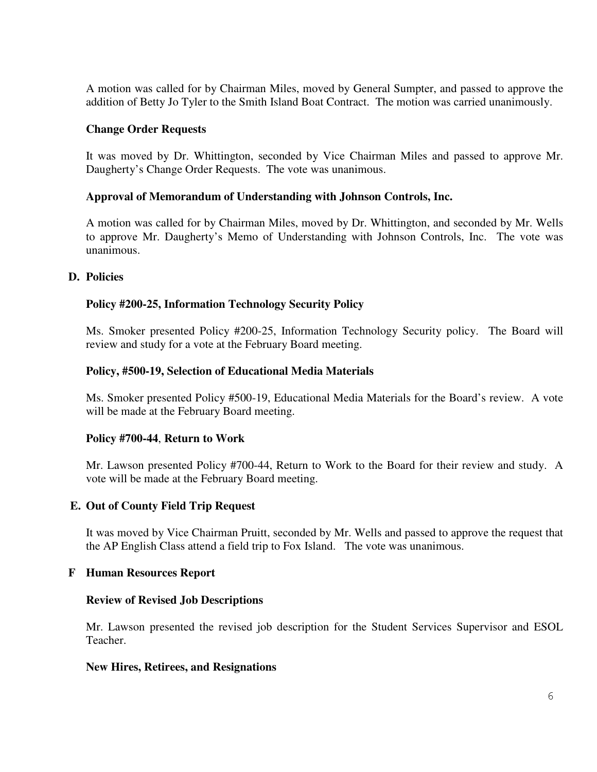A motion was called for by Chairman Miles, moved by General Sumpter, and passed to approve the addition of Betty Jo Tyler to the Smith Island Boat Contract. The motion was carried unanimously.

## **Change Order Requests**

It was moved by Dr. Whittington, seconded by Vice Chairman Miles and passed to approve Mr. Daugherty's Change Order Requests. The vote was unanimous.

## **Approval of Memorandum of Understanding with Johnson Controls, Inc.**

A motion was called for by Chairman Miles, moved by Dr. Whittington, and seconded by Mr. Wells to approve Mr. Daugherty's Memo of Understanding with Johnson Controls, Inc. The vote was unanimous.

## **D. Policies**

## **Policy #200-25, Information Technology Security Policy**

Ms. Smoker presented Policy #200-25, Information Technology Security policy. The Board will review and study for a vote at the February Board meeting.

## **Policy, #500-19, Selection of Educational Media Materials**

Ms. Smoker presented Policy #500-19, Educational Media Materials for the Board's review. A vote will be made at the February Board meeting.

### **Policy #700-44**, **Return to Work**

Mr. Lawson presented Policy #700-44, Return to Work to the Board for their review and study. A vote will be made at the February Board meeting.

### **E. Out of County Field Trip Request**

It was moved by Vice Chairman Pruitt, seconded by Mr. Wells and passed to approve the request that the AP English Class attend a field trip to Fox Island. The vote was unanimous.

### **F Human Resources Report**

### **Review of Revised Job Descriptions**

Mr. Lawson presented the revised job description for the Student Services Supervisor and ESOL Teacher.

### **New Hires, Retirees, and Resignations**